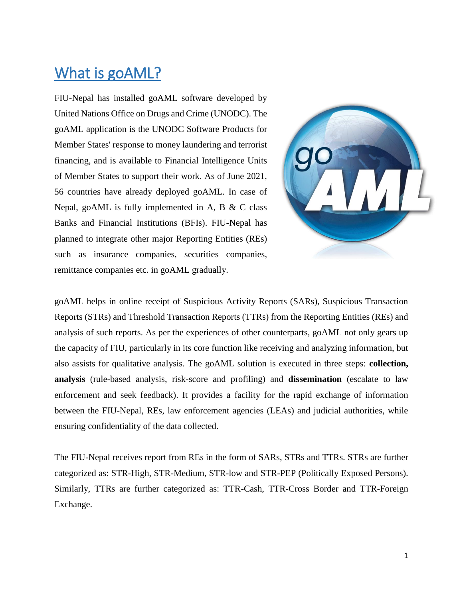# What is goAML?

FIU-Nepal has installed goAML software developed by United Nations Office on Drugs and Crime (UNODC). The goAML application is the UNODC Software Products for Member States' response to money laundering and terrorist financing, and is available to Financial Intelligence Units of Member States to support their work. As of June 2021, 56 countries have already deployed goAML. In case of Nepal, goAML is fully implemented in A, B & C class Banks and Financial Institutions (BFIs). FIU-Nepal has planned to integrate other major Reporting Entities (REs) such as insurance companies, securities companies, remittance companies etc. in goAML gradually.



goAML helps in online receipt of Suspicious Activity Reports (SARs), Suspicious Transaction Reports (STRs) and Threshold Transaction Reports (TTRs) from the Reporting Entities (REs) and analysis of such reports. As per the experiences of other counterparts, goAML not only gears up the capacity of FIU, particularly in its core function like receiving and analyzing information, but also assists for qualitative analysis. The goAML solution is executed in three steps: **collection, analysis** (rule-based analysis, risk-score and profiling) and **dissemination** (escalate to law enforcement and seek feedback). It provides a facility for the rapid exchange of information between the FIU-Nepal, REs, law enforcement agencies (LEAs) and judicial authorities, while ensuring confidentiality of the data collected.

The FIU-Nepal receives report from REs in the form of SARs, STRs and TTRs. STRs are further categorized as: STR-High, STR-Medium, STR-low and STR-PEP (Politically Exposed Persons). Similarly, TTRs are further categorized as: TTR-Cash, TTR-Cross Border and TTR-Foreign Exchange.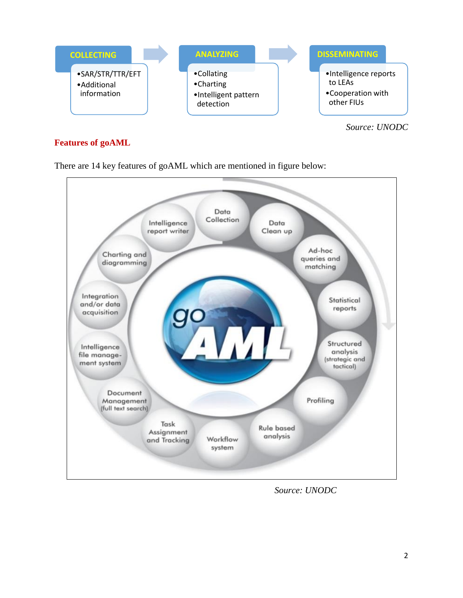

*Source: UNODC*

## **Features of goAML**

There are 14 key features of goAML which are mentioned in figure below:



 *Source: UNODC*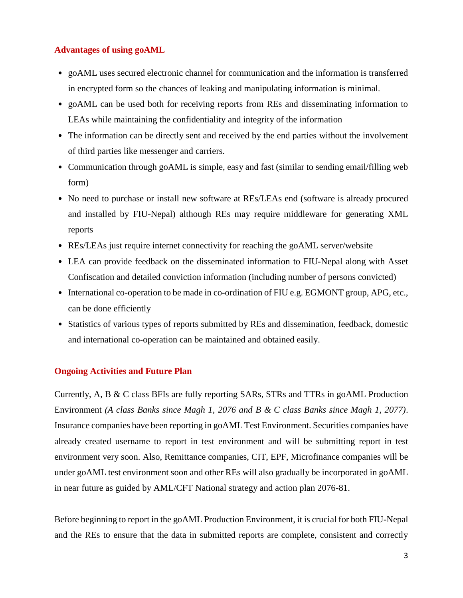### **Advantages of using goAML**

- goAML uses secured electronic channel for communication and the information is transferred in encrypted form so the chances of leaking and manipulating information is minimal.
- goAML can be used both for receiving reports from REs and disseminating information to LEAs while maintaining the confidentiality and integrity of the information
- The information can be directly sent and received by the end parties without the involvement of third parties like messenger and carriers.
- Communication through goAML is simple, easy and fast (similar to sending email/filling web form)
- No need to purchase or install new software at REs/LEAs end (software is already procured and installed by FIU-Nepal) although REs may require middleware for generating XML reports
- REs/LEAs just require internet connectivity for reaching the goAML server/website
- LEA can provide feedback on the disseminated information to FIU-Nepal along with Asset Confiscation and detailed conviction information (including number of persons convicted)
- International co-operation to be made in co-ordination of FIU e.g. EGMONT group, APG, etc., can be done efficiently
- Statistics of various types of reports submitted by REs and dissemination, feedback, domestic and international co-operation can be maintained and obtained easily.

#### **Ongoing Activities and Future Plan**

Currently, A, B & C class BFIs are fully reporting SARs, STRs and TTRs in goAML Production Environment *(A class Banks since Magh 1, 2076 and B & C class Banks since Magh 1, 2077)*. Insurance companies have been reporting in goAML Test Environment. Securities companies have already created username to report in test environment and will be submitting report in test environment very soon. Also, Remittance companies, CIT, EPF, Microfinance companies will be under goAML test environment soon and other REs will also gradually be incorporated in goAML in near future as guided by AML/CFT National strategy and action plan 2076-81.

Before beginning to report in the goAML Production Environment, it is crucial for both FIU-Nepal and the REs to ensure that the data in submitted reports are complete, consistent and correctly